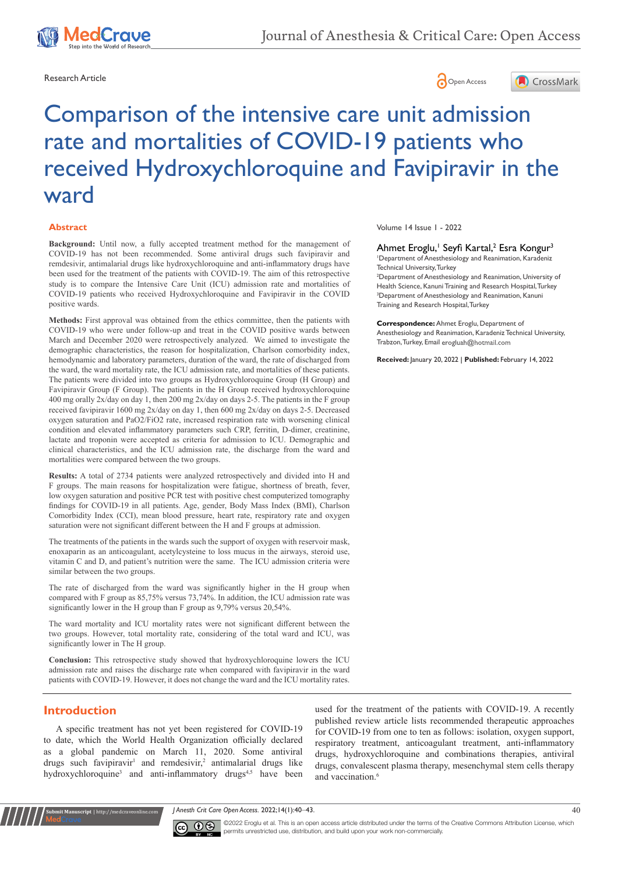





# Comparison of the intensive care unit admission rate and mortalities of COVID-19 patients who received Hydroxychloroquine and Favipiravir in the ward

#### **Abstract**

**Background:** Until now, a fully accepted treatment method for the management of COVID-19 has not been recommended. Some antiviral drugs such favipiravir and remdesivir, antimalarial drugs like hydroxychloroquine and anti-inflammatory drugs have been used for the treatment of the patients with COVID-19. The aim of this retrospective study is to compare the Intensive Care Unit (ICU) admission rate and mortalities of COVID-19 patients who received Hydroxychloroquine and Favipiravir in the COVID positive wards.

**Methods:** First approval was obtained from the ethics committee, then the patients with COVID-19 who were under follow-up and treat in the COVID positive wards between March and December 2020 were retrospectively analyzed. We aimed to investigate the demographic characteristics, the reason for hospitalization, Charlson comorbidity index, hemodynamic and laboratory parameters, duration of the ward, the rate of discharged from the ward, the ward mortality rate, the ICU admission rate, and mortalities of these patients. The patients were divided into two groups as Hydroxychloroquine Group (H Group) and Favipiravir Group (F Group). The patients in the H Group received hydroxychloroquine 400 mg orally 2x/day on day 1, then 200 mg 2x/day on days 2-5. The patients in the F group received favipiravir 1600 mg 2x/day on day 1, then 600 mg 2x/day on days 2-5. Decreased oxygen saturation and PaO2/FiO2 rate, increased respiration rate with worsening clinical condition and elevated inflammatory parameters such CRP, ferritin, D-dimer, creatinine, lactate and troponin were accepted as criteria for admission to ICU. Demographic and clinical characteristics, and the ICU admission rate, the discharge from the ward and mortalities were compared between the two groups.

**Results:** A total of 2734 patients were analyzed retrospectively and divided into H and F groups. The main reasons for hospitalization were fatigue, shortness of breath, fever, low oxygen saturation and positive PCR test with positive chest computerized tomography findings for COVID-19 in all patients. Age, gender, Body Mass Index (BMI), Charlson Comorbidity Index (CCI), mean blood pressure, heart rate, respiratory rate and oxygen saturation were not significant different between the H and F groups at admission.

The treatments of the patients in the wards such the support of oxygen with reservoir mask, enoxaparin as an anticoagulant, acetylcysteine to loss mucus in the airways, steroid use, vitamin C and D, and patient's nutrition were the same. The ICU admission criteria were similar between the two groups.

The rate of discharged from the ward was significantly higher in the H group when compared with F group as 85,75% versus 73,74%. In addition, the ICU admission rate was significantly lower in the H group than F group as 9,79% versus 20,54%.

The ward mortality and ICU mortality rates were not significant different between the two groups. However, total mortality rate, considering of the total ward and ICU, was significantly lower in The H group.

**Conclusion:** This retrospective study showed that hydroxychloroquine lowers the ICU admission rate and raises the discharge rate when compared with favipiravir in the ward patients with COVID-19. However, it does not change the ward and the ICU mortality rates.

## **Introduction**

**Krit Manuscript** | http://medcraveonline.c

A specific treatment has not yet been registered for COVID-19 to date, which the World Health Organization officially declared as a global pandemic on March 11, 2020. Some antiviral drugs such favipiravir<sup>1</sup> and remdesivir,<sup>2</sup> antimalarial drugs like hydroxychloroquine<sup>3</sup> and anti-inflammatory drugs<sup>4,5</sup> have been used for the treatment of the patients with COVID-19. A recently published review article lists recommended therapeutic approaches for COVID-19 from one to ten as follows: isolation, oxygen support, respiratory treatment, anticoagulant treatment, anti-inflammatory drugs, hydroxychloroquine and combinations therapies, antiviral drugs, convalescent plasma therapy, mesenchymal stem cells therapy and vaccination.<sup>6</sup>

*J Anesth Crit Care Open Access.* 2022;14(1):40‒43. 40



©2022 Eroglu et al. This is an open access article distributed under the terms of the [Creative Commons Attribution License,](https://creativecommons.org/licenses/by-nc/4.0/) which permits unrestricted use, distribution, and build upon your work non-commercially.

Volume 14 Issue 1 - 2022

#### Ahmet Eroglu,' Seyfi Kartal,<sup>2</sup> Esra Kongur<sup>3</sup>

1 Department of Anesthesiology and Reanimation, Karadeniz Technical University, Turkey

2 Department of Anesthesiology and Reanimation, University of Health Science, Kanuni Training and Research Hospital, Turkey 3 Department of Anesthesiology and Reanimation, Kanuni Training and Research Hospital, Turkey

**Correspondence:** Ahmet Eroglu, Department of Anesthesiology and Reanimation, Karadeniz Technical University, Trabzon, Turkey, Email erogluah@hotmail.com

**Received:** January 20, 2022 | **Published:** February 14, 2022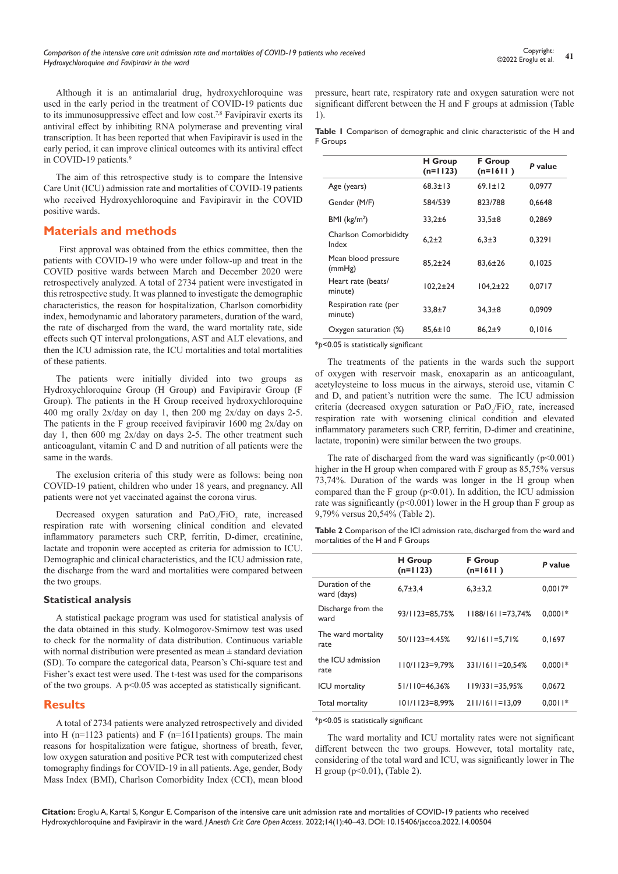Although it is an antimalarial drug, hydroxychloroquine was used in the early period in the treatment of COVID-19 patients due to its immunosuppressive effect and low cost.7,8 Favipiravir exerts its antiviral effect by inhibiting RNA polymerase and preventing viral transcription. It has been reported that when Favipiravir is used in the early period, it can improve clinical outcomes with its antiviral effect in COVID-19 patients.<sup>9</sup>

The aim of this retrospective study is to compare the Intensive Care Unit (ICU) admission rate and mortalities of COVID-19 patients who received Hydroxychloroquine and Favipiravir in the COVID positive wards.

## **Materials and methods**

 First approval was obtained from the ethics committee, then the patients with COVID-19 who were under follow-up and treat in the COVID positive wards between March and December 2020 were retrospectively analyzed. A total of 2734 patient were investigated in this retrospective study. It was planned to investigate the demographic characteristics, the reason for hospitalization, Charlson comorbidity index, hemodynamic and laboratory parameters, duration of the ward, the rate of discharged from the ward, the ward mortality rate, side effects such QT interval prolongations, AST and ALT elevations, and then the ICU admission rate, the ICU mortalities and total mortalities of these patients.

The patients were initially divided into two groups as Hydroxychloroquine Group (H Group) and Favipiravir Group (F Group). The patients in the H Group received hydroxychloroquine 400 mg orally 2x/day on day 1, then 200 mg 2x/day on days 2-5. The patients in the F group received favipiravir 1600 mg 2x/day on day 1, then 600 mg 2x/day on days 2-5. The other treatment such anticoagulant, vitamin C and D and nutrition of all patients were the same in the wards.

The exclusion criteria of this study were as follows: being non COVID-19 patient, children who under 18 years, and pregnancy. All patients were not yet vaccinated against the corona virus.

Decreased oxygen saturation and  $PaO_2/FiO_2$  rate, increased respiration rate with worsening clinical condition and elevated inflammatory parameters such CRP, ferritin, D-dimer, creatinine, lactate and troponin were accepted as criteria for admission to ICU. Demographic and clinical characteristics, and the ICU admission rate, the discharge from the ward and mortalities were compared between the two groups.

#### **Statistical analysis**

A statistical package program was used for statistical analysis of the data obtained in this study. Kolmogorov-Smirnow test was used to check for the normality of data distribution. Continuous variable with normal distribution were presented as mean ± standard deviation (SD). To compare the categorical data, Pearson's Chi-square test and Fisher's exact test were used. The t-test was used for the comparisons of the two groups. A  $p<0.05$  was accepted as statistically significant.

### **Results**

A total of 2734 patients were analyzed retrospectively and divided into H (n=1123 patients) and F (n=1611patients) groups. The main reasons for hospitalization were fatigue, shortness of breath, fever, low oxygen saturation and positive PCR test with computerized chest tomography findings for COVID-19 in all patients. Age, gender, Body Mass Index (BMI), Charlson Comorbidity Index (CCI), mean blood

pressure, heart rate, respiratory rate and oxygen saturation were not significant different between the H and F groups at admission (Table 1).

|          | Table I Comparison of demographic and clinic characteristic of the H and |  |  |  |  |
|----------|--------------------------------------------------------------------------|--|--|--|--|
| F Groups |                                                                          |  |  |  |  |

|                                  | <b>H</b> Group<br><b>F</b> Group |                |         |
|----------------------------------|----------------------------------|----------------|---------|
|                                  | $(n=1123)$                       | $(n=1611)$     | P value |
| Age (years)                      | $68.3 \pm 13$                    | $69.1 \pm 12$  | 0.0977  |
| Gender (M/F)                     | 584/539                          | 823/788        | 0.6648  |
| BMI (kg/m <sup>2</sup> )         | $33.2 \pm 6$                     | $33.5 \pm 8$   | 0.2869  |
| Charlson Comorbididty<br>Index   | $6,2+2$                          | $6.3 \pm 3$    | 0.3291  |
| Mean blood pressure<br>(mmHg)    | $85.2 + 24$                      | $83.6 \pm 26$  | 0.1025  |
| Heart rate (beats/<br>minute)    | $102.2 \pm 24$                   | $104.2 \pm 22$ | 0.0717  |
| Respiration rate (per<br>minute) | $33.8 + 7$                       | $34.3 + 8$     | 0.0909  |
| Oxygen saturation (%)            | $85.6 \pm 10$                    | $86.2 + 9$     | 0.1016  |

#### \**p*<0.05 is statistically significant

The treatments of the patients in the wards such the support of oxygen with reservoir mask, enoxaparin as an anticoagulant, acetylcysteine to loss mucus in the airways, steroid use, vitamin C and D, and patient's nutrition were the same. The ICU admission criteria (decreased oxygen saturation or  $PaO_2/FiO_2$  rate, increased respiration rate with worsening clinical condition and elevated inflammatory parameters such CRP, ferritin, D-dimer and creatinine, lactate, troponin) were similar between the two groups.

The rate of discharged from the ward was significantly  $(p<0.001)$ higher in the H group when compared with F group as 85,75% versus 73,74%. Duration of the wards was longer in the H group when compared than the F group ( $p<0.01$ ). In addition, the ICU admission rate was significantly ( $p<0.001$ ) lower in the H group than F group as 9,79% versus 20,54% (Table 2).

**Table 2** Comparison of the ICI admission rate, discharged from the ward and mortalities of the H and F Groups

|                                | <b>H</b> Group<br>$(n=1123)$ | <b>F</b> Group<br>$(n=1611)$ | P value   |
|--------------------------------|------------------------------|------------------------------|-----------|
| Duration of the<br>ward (days) | $6.7 \pm 3.4$                | $6.3 \pm 3.2$                | $0.0017*$ |
| Discharge from the<br>ward     | 93/1123=85.75%               | $1188/1611=73.74%$           | $0.0001*$ |
| The ward mortality<br>rate     | $50/1123 = 4.45%$            | $92/1611 = 5,71%$            | 0.1697    |
| the ICU admission<br>rate      | $110/1123=9,79%$             | 331/1611=20,54%              | $0.0001*$ |
| ICU mortality                  | 51/110=46.36%                | $119/331 = 35.95%$           | 0.0672    |
| Total mortality                | 101/1123=8,99%               | $211/1611=13,09$             | $0.0011*$ |

\**p*<0.05 is statistically significant

The ward mortality and ICU mortality rates were not significant different between the two groups. However, total mortality rate, considering of the total ward and ICU, was significantly lower in The H group (p<0.01), (Table 2).

**Citation:** Eroglu A, Kartal S, Kongur E. Comparison of the intensive care unit admission rate and mortalities of COVID-19 patients who received Hydroxychloroquine and Favipiravir in the ward. *J Anesth Crit Care Open Access.* 2022;14(1):40‒43. DOI: [10.15406/jaccoa.2022.14.00504](https://doi.org/10.15406/jaccoa.2022.14.00504)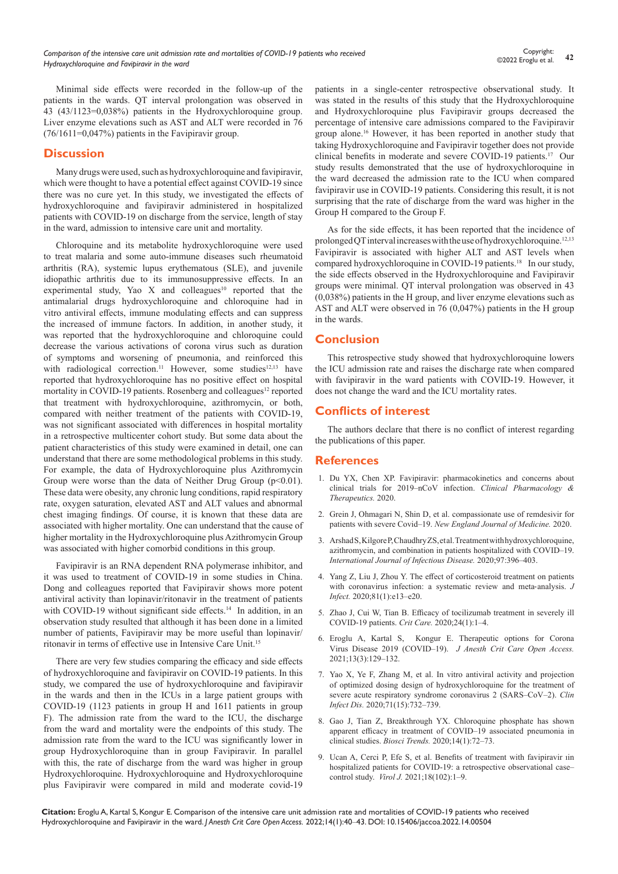Minimal side effects were recorded in the follow-up of the patients in the wards. QT interval prolongation was observed in 43 (43/1123=0,038%) patients in the Hydroxychloroquine group. Liver enzyme elevations such as AST and ALT were recorded in 76  $(76/1611=0.047%)$  patients in the Favipiravir group.

## **Discussion**

Many drugs were used, such as hydroxychloroquine and favipiravir, which were thought to have a potential effect against COVID-19 since there was no cure yet. In this study, we investigated the effects of hydroxychloroquine and favipiravir administered in hospitalized patients with COVID-19 on discharge from the service, length of stay in the ward, admission to intensive care unit and mortality.

Chloroquine and its metabolite hydroxychloroquine were used to treat malaria and some auto-immune diseases such rheumatoid arthritis (RA), systemic lupus erythematous (SLE), and juvenile idiopathic arthritis due to its immunosuppressive effects. In an experimental study, Yao X and colleagues<sup>10</sup> reported that the antimalarial drugs hydroxychloroquine and chloroquine had in vitro antiviral effects, immune modulating effects and can suppress the increased of immune factors. In addition, in another study, it was reported that the hydroxychloroquine and chloroquine could decrease the various activations of corona virus such as duration of symptoms and worsening of pneumonia, and reinforced this with radiological correction.<sup>11</sup> However, some studies<sup>12,13</sup> have reported that hydroxychloroquine has no positive effect on hospital mortality in COVID-19 patients. Rosenberg and colleagues<sup>12</sup> reported that treatment with hydroxychloroquine, azithromycin, or both, compared with neither treatment of the patients with COVID-19, was not significant associated with differences in hospital mortality in a retrospective multicenter cohort study. But some data about the patient characteristics of this study were examined in detail, one can understand that there are some methodological problems in this study. For example, the data of Hydroxychloroquine plus Azithromycin Group were worse than the data of Neither Drug Group  $(p<0.01)$ . These data were obesity, any chronic lung conditions, rapid respiratory rate, oxygen saturation, elevated AST and ALT values and abnormal chest imaging findings. Of course, it is known that these data are associated with higher mortality. One can understand that the cause of higher mortality in the Hydroxychloroquine plus Azithromycin Group was associated with higher comorbid conditions in this group.

Favipiravir is an RNA dependent RNA polymerase inhibitor, and it was used to treatment of COVID-19 in some studies in China. Dong and colleagues reported that Favipiravir shows more potent antiviral activity than lopinavir/ritonavir in the treatment of patients with COVID-19 without significant side effects.<sup>14</sup> In addition, in an observation study resulted that although it has been done in a limited number of patients, Favipiravir may be more useful than lopinavir/ ritonavir in terms of effective use in Intensive Care Unit.15

There are very few studies comparing the efficacy and side effects of hydroxychloroquine and favipiravir on COVID-19 patients. In this study, we compared the use of hydroxychloroquine and favipiravir in the wards and then in the ICUs in a large patient groups with COVID-19 (1123 patients in group H and 1611 patients in group F). The admission rate from the ward to the ICU, the discharge from the ward and mortality were the endpoints of this study. The admission rate from the ward to the ICU was significantly lower in group Hydroxychloroquine than in group Favipiravir. In parallel with this, the rate of discharge from the ward was higher in group Hydroxychloroquine. Hydroxychloroquine and Hydroxychloroquine plus Favipiravir were compared in mild and moderate covid-19

patients in a single-center retrospective observational study. It was stated in the results of this study that the Hydroxychloroquine and Hydroxychloroquine plus Favipiravir groups decreased the percentage of intensive care admissions compared to the Favipiravir group alone.16 However, it has been reported in another study that taking Hydroxychloroquine and Favipiravir together does not provide clinical benefits in moderate and severe COVID-19 patients.17 Our study results demonstrated that the use of hydroxychloroquine in the ward decreased the admission rate to the ICU when compared favipiravir use in COVID-19 patients. Considering this result, it is not surprising that the rate of discharge from the ward was higher in the Group H compared to the Group F.

As for the side effects, it has been reported that the incidence of prolonged QT interval increases with the use of hydroxychloroquine.12,13 Favipiravir is associated with higher ALT and AST levels when compared hydroxychloroquine in COVID-19 patients.<sup>18</sup> In our study, the side effects observed in the Hydroxychloroquine and Favipiravir groups were minimal. QT interval prolongation was observed in 43 (0,038%) patients in the H group, and liver enzyme elevations such as AST and ALT were observed in 76 (0,047%) patients in the H group in the wards.

## **Conclusion**

This retrospective study showed that hydroxychloroquine lowers the ICU admission rate and raises the discharge rate when compared with favipiravir in the ward patients with COVID-19. However, it does not change the ward and the ICU mortality rates.

# **Conflicts of interest**

The authors declare that there is no conflict of interest regarding the publications of this paper.

### **References**

- 1. [Du YX, Chen XP. Favipiravir: pharmacokinetics and concerns about](https://pubmed.ncbi.nlm.nih.gov/32246834/)  [clinical trials for 2019‒nCoV infection.](https://pubmed.ncbi.nlm.nih.gov/32246834/) *Clinical Pharmacology & [Therapeutics.](https://pubmed.ncbi.nlm.nih.gov/32246834/)* 2020.
- 2. [Grein J, Ohmagari N, Shin D, et al. compassionate use of remdesivir for](https://www.nejm.org/doi/full/10.1056/NEJMoa2007016)  patients with severe Covid-19. *New England Journal of Medicine*. 2020.
- 3. [Arshad S, Kilgore P, Chaudhry ZS, et al. Treatment with hydroxychloroquine,](https://pubmed.ncbi.nlm.nih.gov/32623082/)  azithromycin, and combination in patients hospitalized with COVID-19. *[International Journal of Infectious Disease.](https://pubmed.ncbi.nlm.nih.gov/32623082/)* 2020;97:396‒403.
- 4. [Yang Z, Liu J, Zhou Y. The effect of corticosteroid treatment on patients](https://pubmed.ncbi.nlm.nih.gov/32283144/)  [with coronavirus infection: a systematic review and meta](https://pubmed.ncbi.nlm.nih.gov/32283144/)-analysis. *J Infect.* [2020;81\(1\):e13‒e20.](https://pubmed.ncbi.nlm.nih.gov/32283144/)
- 5. [Zhao J, Cui W, Tian B. Efficacy of tocilizumab treatment in severely ill](https://pubmed.ncbi.nlm.nih.gov/32854738/)  COVID‐19 patients. *Crit Care.* [2020;24\(1\):1‒4.](https://pubmed.ncbi.nlm.nih.gov/32854738/)
- 6. [Eroglu A, Kartal S, Kongur E. Therapeutic options for Corona](https://medcraveonline.com/JACCOA/JACCOA-13-00483.pdf)  [Virus Disease 2019 \(COVID‒19\).](https://medcraveonline.com/JACCOA/JACCOA-13-00483.pdf) *J Anesth Crit Care Open Access.*  [2021;13\(3\):129‒132.](https://medcraveonline.com/JACCOA/JACCOA-13-00483.pdf)
- 7. [Yao X, Ye F, Zhang M, et al. In vitro antiviral activity and projection](https://pubmed.ncbi.nlm.nih.gov/32150618/)  [of optimized dosing design of hydroxychloroquine for the treatment of](https://pubmed.ncbi.nlm.nih.gov/32150618/)  severe acute respiratory syndrome coronavirus 2 (SARS–CoV–2). *Clin Infect Dis.* [2020;71\(15\):732‒739.](https://pubmed.ncbi.nlm.nih.gov/32150618/)
- 8. [Gao J, Tian Z, Breakthrough YX. Chloroquine phosphate has shown](https://pubmed.ncbi.nlm.nih.gov/32074550/)  apparent efficacy in treatment of COVID-19 associated pneumonia in clinical studies. *Biosci Trends.* 2020;14(1):72-73.
- 9. [Ucan A, Cerci P, Efe S, et al. Benefits of treatment with favipiravir ıin](https://pubmed.ncbi.nlm.nih.gov/34034765/)  hospitalized patients for COVID-19: a retrospective observational casecontrol study. *Virol J.* [2021;18\(102\):1‒9.](https://pubmed.ncbi.nlm.nih.gov/34034765/)